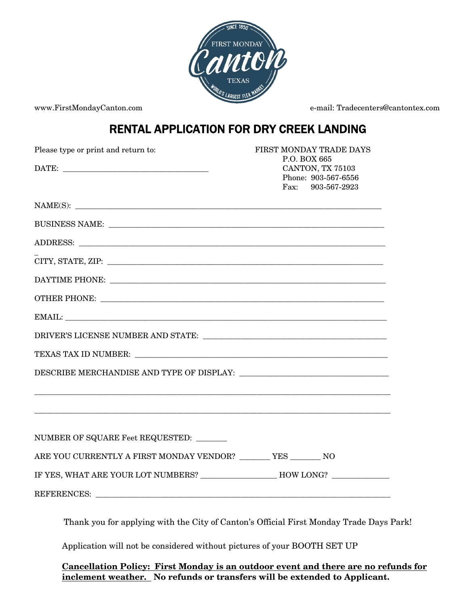

www.FirstMondayCanton.com e-mail: Tradecenters@cantontex.com

## RENTAL APPLICATION FOR DRY CREEK LANDING

| Please type or print and return to:                                                                                                                                                                                                                                                                                                                                                                           | FIRST MONDAY TRADE DAYS<br>P.O. BOX 665                         |
|---------------------------------------------------------------------------------------------------------------------------------------------------------------------------------------------------------------------------------------------------------------------------------------------------------------------------------------------------------------------------------------------------------------|-----------------------------------------------------------------|
|                                                                                                                                                                                                                                                                                                                                                                                                               | CANTON, TX 75103<br>Phone: 903-567-6556<br>903-567-2923<br>Fax: |
|                                                                                                                                                                                                                                                                                                                                                                                                               |                                                                 |
|                                                                                                                                                                                                                                                                                                                                                                                                               |                                                                 |
|                                                                                                                                                                                                                                                                                                                                                                                                               |                                                                 |
| $CITY, STATE, ZIP: \begin{tabular}{@{}c@{}} \hline \rule[1pt]{1pt}{1pt} \rule[1pt]{1pt}{1pt} \rule[1pt]{1pt}{1pt} \rule[1pt]{1pt}{1pt} \rule[1pt]{1pt}{1pt} \rule[1pt]{1pt}{1pt} \rule[1pt]{1pt}{1pt} \rule[1pt]{1pt}{1pt} \rule[1pt]{1pt}{1pt} \rule[1pt]{1pt}{1pt} \rule[1pt]{1pt}{1pt} \rule[1pt]{1pt}{1pt} \rule[1pt]{1pt}{1pt} \rule[1pt]{1pt}{1pt} \rule[1pt]{1pt}{1pt} \rule[1pt]{1pt}{1pt} \rule[1pt$ |                                                                 |
|                                                                                                                                                                                                                                                                                                                                                                                                               |                                                                 |
|                                                                                                                                                                                                                                                                                                                                                                                                               |                                                                 |
| EMAIL: The contract of the contract of the contract of the contract of the contract of the contract of the contract of the contract of the contract of the contract of the contract of the contract of the contract of the con                                                                                                                                                                                |                                                                 |
|                                                                                                                                                                                                                                                                                                                                                                                                               |                                                                 |
|                                                                                                                                                                                                                                                                                                                                                                                                               |                                                                 |
| DESCRIBE MERCHANDISE AND TYPE OF DISPLAY:                                                                                                                                                                                                                                                                                                                                                                     |                                                                 |
| <u> 1989 - Johann Harry Harry Harry Harry Harry Harry Harry Harry Harry Harry Harry Harry Harry Harry Harry Harry</u>                                                                                                                                                                                                                                                                                         |                                                                 |
| NUMBER OF SQUARE Feet REQUESTED:                                                                                                                                                                                                                                                                                                                                                                              |                                                                 |
| ARE YOU CURRENTLY A FIRST MONDAY VENDOR? _______ YES _______ NO                                                                                                                                                                                                                                                                                                                                               |                                                                 |
| IF YES, WHAT ARE YOUR LOT NUMBERS? ________________________ HOW LONG? ___________                                                                                                                                                                                                                                                                                                                             |                                                                 |
| REFERENCES: Latin and the contract of the contract of the contract of the contract of the contract of the contract of the contract of the contract of the contract of the contract of the contract of the contract of the cont                                                                                                                                                                                |                                                                 |
| Thank you for applying with the City of Canton's Official First Monday Trade Days Park!                                                                                                                                                                                                                                                                                                                       |                                                                 |

Application will not be considered without pictures of your BOOTH SET UP

**Cancellation Policy: First Monday is an outdoor event and there are no refunds for inclement weather. No refunds or transfers will be extended to Applicant.**